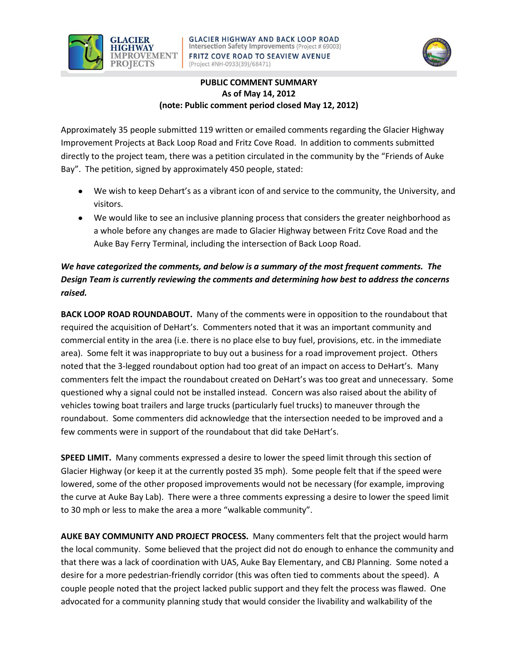



## **PUBLIC COMMENT SUMMARY As of May 14, 2012 (note: Public comment period closed May 12, 2012)**

Approximately 35 people submitted 119 written or emailed comments regarding the Glacier Highway Improvement Projects at Back Loop Road and Fritz Cove Road. In addition to comments submitted directly to the project team, there was a petition circulated in the community by the "Friends of Auke Bay". The petition, signed by approximately 450 people, stated:

- We wish to keep Dehart's as a vibrant icon of and service to the community, the University, and visitors.
- We would like to see an inclusive planning process that considers the greater neighborhood as a whole before any changes are made to Glacier Highway between Fritz Cove Road and the Auke Bay Ferry Terminal, including the intersection of Back Loop Road.

## *We have categorized the comments, and below is a summary of the most frequent comments. The Design Team is currently reviewing the comments and determining how best to address the concerns raised.*

**BACK LOOP ROAD ROUNDABOUT.** Many of the comments were in opposition to the roundabout that required the acquisition of DeHart's. Commenters noted that it was an important community and commercial entity in the area (i.e. there is no place else to buy fuel, provisions, etc. in the immediate area). Some felt it was inappropriate to buy out a business for a road improvement project. Others noted that the 3-legged roundabout option had too great of an impact on access to DeHart's. Many commenters felt the impact the roundabout created on DeHart's was too great and unnecessary. Some questioned why a signal could not be installed instead. Concern was also raised about the ability of vehicles towing boat trailers and large trucks (particularly fuel trucks) to maneuver through the roundabout. Some commenters did acknowledge that the intersection needed to be improved and a few comments were in support of the roundabout that did take DeHart's.

**SPEED LIMIT.** Many comments expressed a desire to lower the speed limit through this section of Glacier Highway (or keep it at the currently posted 35 mph). Some people felt that if the speed were lowered, some of the other proposed improvements would not be necessary (for example, improving the curve at Auke Bay Lab). There were a three comments expressing a desire to lower the speed limit to 30 mph or less to make the area a more "walkable community".

**AUKE BAY COMMUNITY AND PROJECT PROCESS.** Many commenters felt that the project would harm the local community. Some believed that the project did not do enough to enhance the community and that there was a lack of coordination with UAS, Auke Bay Elementary, and CBJ Planning. Some noted a desire for a more pedestrian-friendly corridor (this was often tied to comments about the speed). A couple people noted that the project lacked public support and they felt the process was flawed. One advocated for a community planning study that would consider the livability and walkability of the